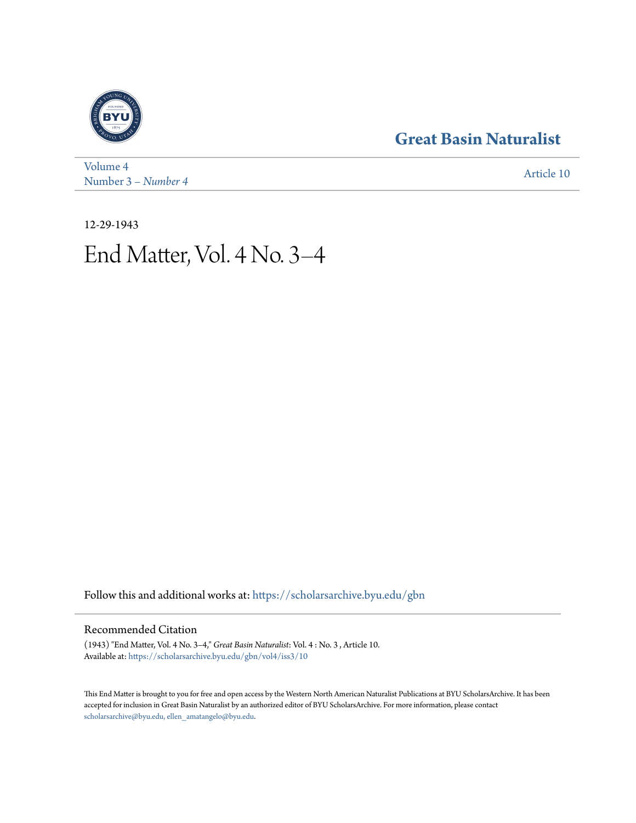### **[Great Basin Naturalist](https://scholarsarchive.byu.edu/gbn?utm_source=scholarsarchive.byu.edu%2Fgbn%2Fvol4%2Fiss3%2F10&utm_medium=PDF&utm_campaign=PDFCoverPages)**



[Volume 4](https://scholarsarchive.byu.edu/gbn/vol4?utm_source=scholarsarchive.byu.edu%2Fgbn%2Fvol4%2Fiss3%2F10&utm_medium=PDF&utm_campaign=PDFCoverPages) Number 3 [– Number 4](https://scholarsarchive.byu.edu/gbn/vol4/iss3?utm_source=scholarsarchive.byu.edu%2Fgbn%2Fvol4%2Fiss3%2F10&utm_medium=PDF&utm_campaign=PDFCoverPages) and 10 and 10 and 10 and 10 and 10 and 10 and 10 and 10 and 10 and 10 and 10 and 10 and 10 and 10 and 10 and 10 and 10 and 10 and 10 and 10 and 10 and 10 and 10 and 10 and 10 and 10 and 10 and 10 and 10

12-29-1943

# End Matter, Vol. 4 No. 3–4

Follow this and additional works at: [https://scholarsarchive.byu.edu/gbn](https://scholarsarchive.byu.edu/gbn?utm_source=scholarsarchive.byu.edu%2Fgbn%2Fvol4%2Fiss3%2F10&utm_medium=PDF&utm_campaign=PDFCoverPages)

### Recommended Citation

(1943) "End Matter, Vol. 4 No. 3–4," *Great Basin Naturalist*: Vol. 4 : No. 3 , Article 10. Available at: [https://scholarsarchive.byu.edu/gbn/vol4/iss3/10](https://scholarsarchive.byu.edu/gbn/vol4/iss3/10?utm_source=scholarsarchive.byu.edu%2Fgbn%2Fvol4%2Fiss3%2F10&utm_medium=PDF&utm_campaign=PDFCoverPages)

This End Matter is brought to you for free and open access by the Western North American Naturalist Publications at BYU ScholarsArchive. It has been accepted for inclusion in Great Basin Naturalist by an authorized editor of BYU ScholarsArchive. For more information, please contact [scholarsarchive@byu.edu, ellen\\_amatangelo@byu.edu.](mailto:scholarsarchive@byu.edu,%20ellen_amatangelo@byu.edu)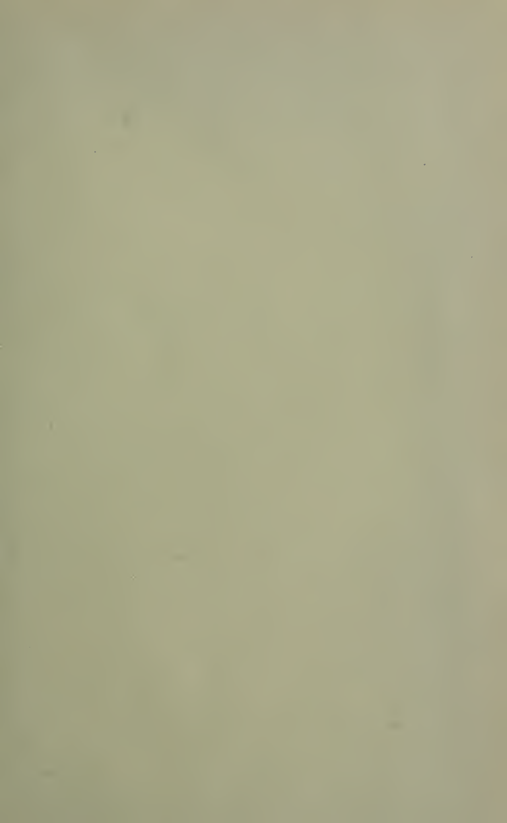